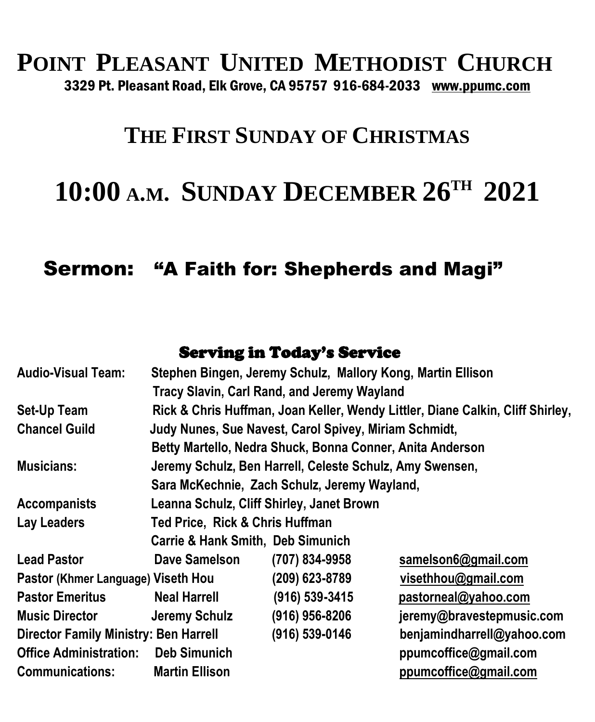# **POINT PLEASANT UNITED METHODIST CHURCH** 3329 Pt. Pleasant Road, Elk Grove, CA 95757 916-684-2033 [www.ppumc.com](http://www.ppumc.com/)

# **THE FIRST SUNDAY OF CHRISTMAS**

# **10:00 <sup>A</sup>.M. SUNDAY DECEMBER 26 TH 2021**

#### Sermon: "A Faith for: Shepherds and Magi"

#### Serving in Today's Service

| <b>Audio-Visual Team:</b>                    |                                                                                | Stephen Bingen, Jeremy Schulz, Mallory Kong, Martin Ellison |                            |
|----------------------------------------------|--------------------------------------------------------------------------------|-------------------------------------------------------------|----------------------------|
|                                              |                                                                                | Tracy Slavin, Carl Rand, and Jeremy Wayland                 |                            |
| Set-Up Team                                  | Rick & Chris Huffman, Joan Keller, Wendy Littler, Diane Calkin, Cliff Shirley, |                                                             |                            |
| <b>Chancel Guild</b>                         |                                                                                | Judy Nunes, Sue Navest, Carol Spivey, Miriam Schmidt,       |                            |
|                                              | Betty Martello, Nedra Shuck, Bonna Conner, Anita Anderson                      |                                                             |                            |
| <b>Musicians:</b>                            | Jeremy Schulz, Ben Harrell, Celeste Schulz, Amy Swensen,                       |                                                             |                            |
|                                              | Sara McKechnie, Zach Schulz, Jeremy Wayland,                                   |                                                             |                            |
| <b>Accompanists</b>                          | Leanna Schulz, Cliff Shirley, Janet Brown                                      |                                                             |                            |
| <b>Lay Leaders</b>                           | Ted Price, Rick & Chris Huffman                                                |                                                             |                            |
|                                              | <b>Carrie &amp; Hank Smith, Deb Simunich</b>                                   |                                                             |                            |
| <b>Lead Pastor</b>                           | Dave Samelson                                                                  | (707) 834-9958                                              | samelson6@gmail.com        |
| Pastor (Khmer Language) Viseth Hou           |                                                                                | (209) 623-8789                                              | visethhou@gmail.com        |
| <b>Pastor Emeritus</b>                       | <b>Neal Harrell</b>                                                            | (916) 539-3415                                              | pastorneal@yahoo.com       |
| <b>Music Director</b>                        | Jeremy Schulz                                                                  | (916) 956-8206                                              | jeremy@bravestepmusic.com  |
| <b>Director Family Ministry: Ben Harrell</b> |                                                                                | (916) 539-0146                                              | benjamindharrell@yahoo.com |
| <b>Office Administration:</b>                | <b>Deb Simunich</b>                                                            |                                                             | ppumcoffice@gmail.com      |
| <b>Communications:</b>                       | <b>Martin Ellison</b>                                                          |                                                             | ppumcoffice@gmail.com      |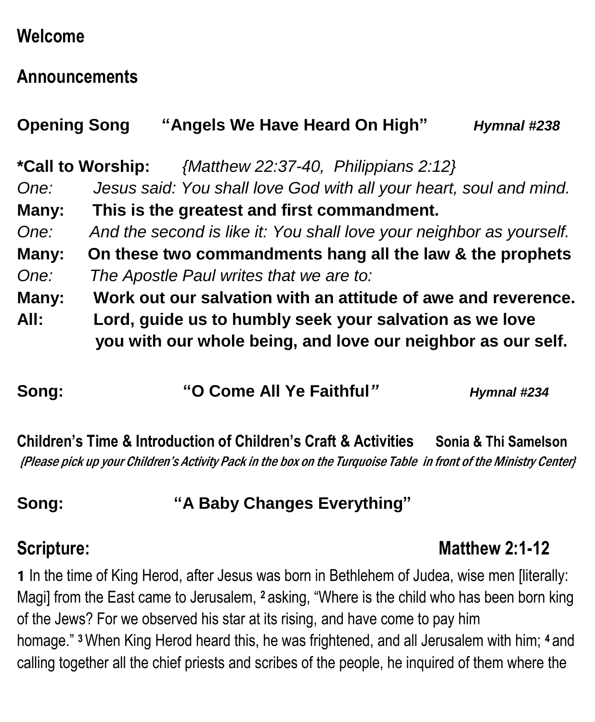# **Welcome**

### **Announcements**

| <b>Opening Song</b> | "Angels We Have Heard On High"                                                                                                                                                           | Hymnal #238 |
|---------------------|------------------------------------------------------------------------------------------------------------------------------------------------------------------------------------------|-------------|
| One:                | {Matthew 22:37-40, Philippians 2:12}<br>*Call to Worship:<br>Jesus said: You shall love God with all your heart, soul and mind.                                                          |             |
| Many:               | This is the greatest and first commandment.                                                                                                                                              |             |
| One:                | And the second is like it: You shall love your neighbor as yourself.                                                                                                                     |             |
| Many:               | On these two commandments hang all the law & the prophets                                                                                                                                |             |
| One:                | The Apostle Paul writes that we are to:                                                                                                                                                  |             |
| Many:<br>All:       | Work out our salvation with an attitude of awe and reverence.<br>Lord, guide us to humbly seek your salvation as we love<br>you with our whole being, and love our neighbor as our self. |             |

| Hymnal #234 |
|-------------|
|             |

**Children's Time & Introduction of Children's Craft & Activities Sonia & Thi Samelson** {Please pick up your Children's Activity Pack in the box on the Turquoise Table in front of the Ministry Center}

### **Song: "A Baby Changes Everything"**

# **Scripture:** Matthew 2:1-12

**1** In the time of King Herod, after Jesus was born in Bethlehem of Judea, wise men [literally: Magi] from the East came to Jerusalem, **<sup>2</sup>** asking, "Where is the child who has been born king of the Jews? For we observed his star at its rising, and have come to pay him homage." **<sup>3</sup>**When King Herod heard this, he was frightened, and all Jerusalem with him; **<sup>4</sup>** and calling together all the chief priests and scribes of the people, he inquired of them where the